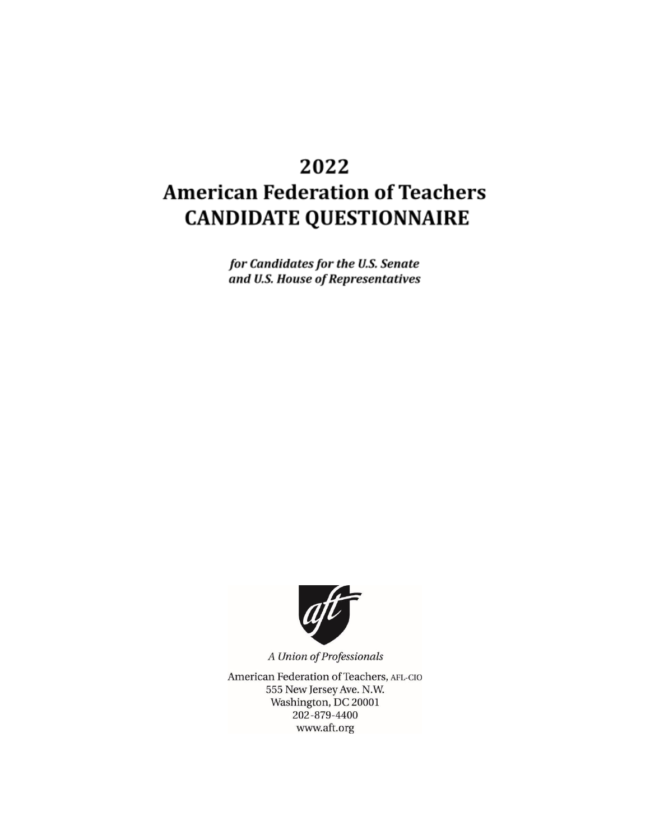# 2022 **American Federation of Teachers CANDIDATE QUESTIONNAIRE**

for Candidates for the U.S. Senate and U.S. House of Representatives



A Union of Professionals

American Federation of Teachers, AFL-CIO 555 New Jersey Ave. N.W. Washington, DC 20001 202-879-4400 www.aft.org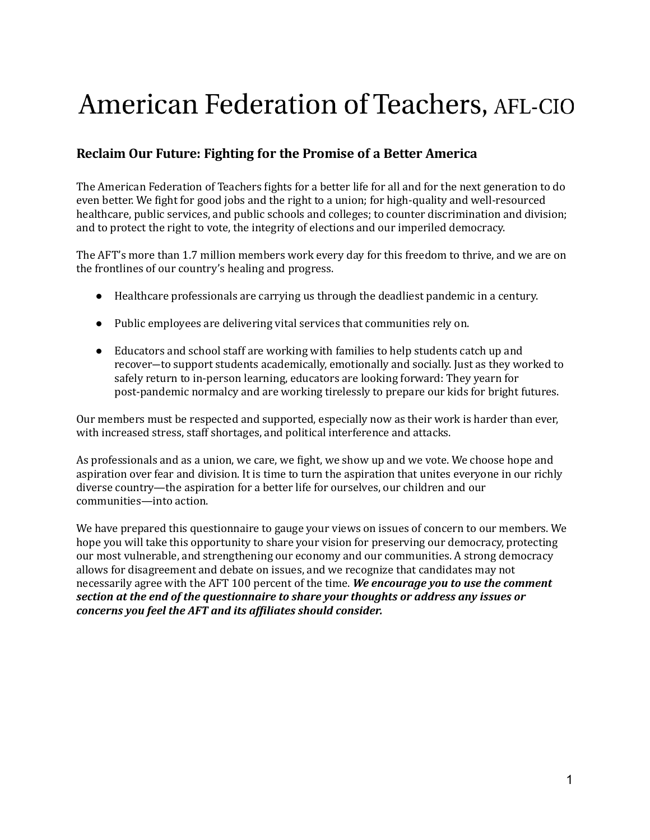# American Federation of Teachers, AFL-CIO

# **Reclaim Our Future: Fighting for the Promise of a Better America**

The American Federation of Teachers ights for a better life for all and for the next generation to do even better. We ight for good jobs and the right to a union; for high-quality and well-resourced healthcare, public services, and public schools and colleges; to counter discrimination and division; and to protect the right to vote, the integrity of elections and our imperiled democracy.

The AFT's more than 1.7 million members work every day for this freedom to thrive, and we are on the frontlines of our country's healing and progress.

- Healthcare professionals are carrying us through the deadliest pandemic in a century.
- Public employees are delivering vital services that communities rely on.
- Educators and school staff are working with families to help students catch up and recover―to support students academically, emotionally and socially. Just as they worked to safely return to in-person learning, educators are looking forward: They yearn for post-pandemic normalcy and are working tirelessly to prepare our kids for bright futures.

Our members must be respected and supported, especially now as their work is harder than ever, with increased stress, staff shortages, and political interference and attacks.

As professionals and as a union, we care, we ight, we show up and we vote. We choose hope and aspiration over fear and division. It is time to turn the aspiration that unites everyone in our richly diverse country—the aspiration for a better life for ourselves, our children and our communities—into action.

We have prepared this questionnaire to gauge your views on issues of concern to our members. We hope you will take this opportunity to share your vision for preserving our democracy, protecting our most vulnerable, and strengthening our economy and our communities. A strong democracy allows for disagreement and debate on issues, and we recognize that candidates may not necessarily agree with the AFT 100 percent of the time. *We encourage you to use the comment section at the end of the questionnaire to share your thoughts or address any issues or concerns you feel the AFT and its afiliates should consider.*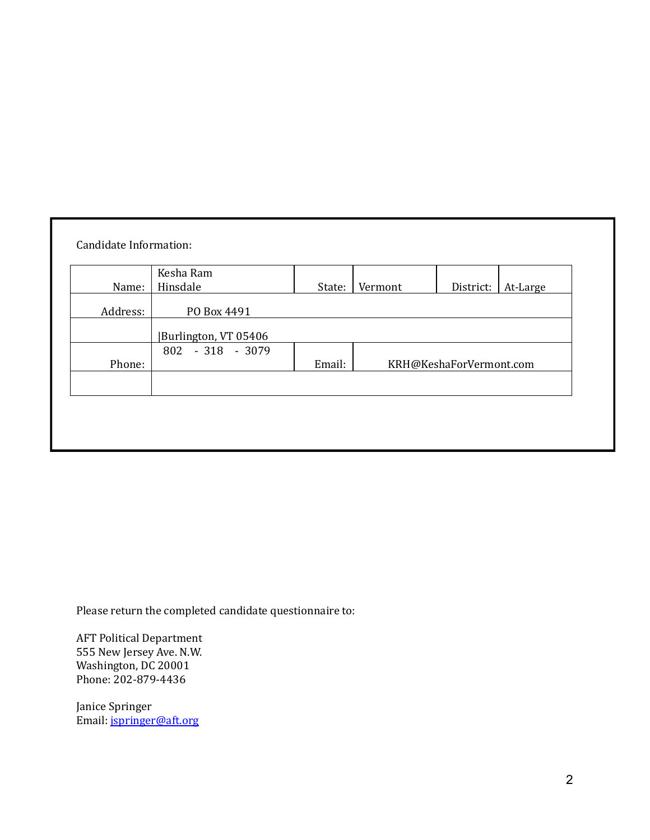|          | Kesha Ram            |        |         |                         |          |
|----------|----------------------|--------|---------|-------------------------|----------|
| Name:    | Hinsdale             | State: | Vermont | District:               | At-Large |
| Address: | PO Box 4491          |        |         |                         |          |
|          | Burlington, VT 05406 |        |         |                         |          |
|          | 802 - 318 - 3079     |        |         |                         |          |
| Phone:   |                      | Email: |         | KRH@KeshaForVermont.com |          |
|          |                      |        |         |                         |          |
|          |                      |        |         |                         |          |
|          |                      |        |         |                         |          |

Please return the completed candidate questionnaire to:

AFT Political Department 555 New Jersey Ave. N.W. Washington, DC 20001 Phone: 202-879-4436

Janice Springer Email: [jspringer@aft.org](mailto:jspringer@aft.org)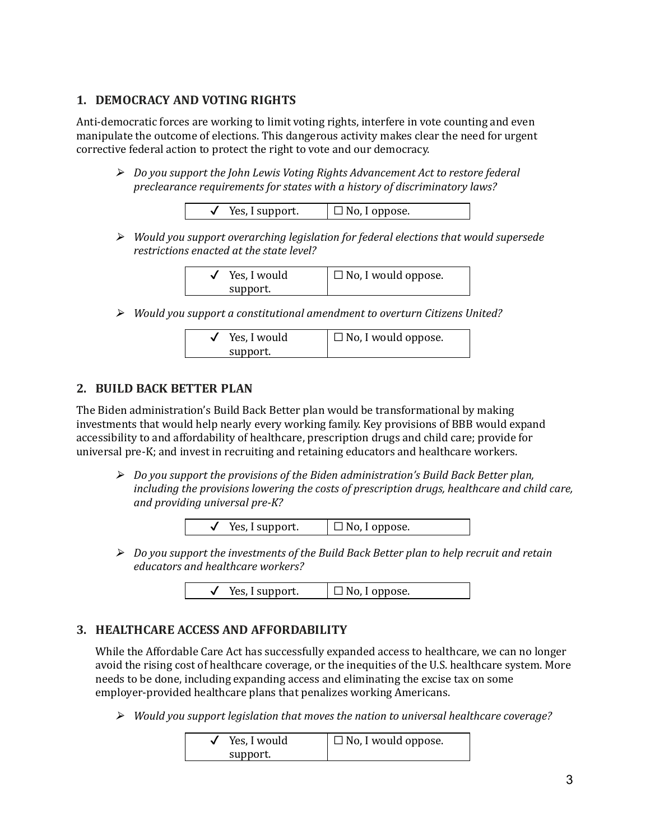# **1. DEMOCRACY AND VOTING RIGHTS**

Anti-democratic forces are working to limit voting rights, interfere in vote counting and even manipulate the outcome of elections. This dangerous activity makes clear the need for urgent corrective federal action to protect the right to vote and our democracy.

⮚ *Do you support the John Lewis Voting Rights Advancement Act to restore federal preclearance requirements for states with a history of discriminatory laws?*

| Yes, I support. | $\Box$ No, I oppose. |
|-----------------|----------------------|
|-----------------|----------------------|

⮚ *Would you support overarching legislation for federal elections that would supersede restrictions enacted at the state level?*

| Yes, I would | $\Box$ No, I would oppose. |
|--------------|----------------------------|
| support.     |                            |

⮚ *Would you support a constitutional amendment to overturn Citizens United?*

| Yes, I would | $\Box$ No, I would oppose. |
|--------------|----------------------------|
| support.     |                            |

#### **2. BUILD BACK BETTER PLAN**

The Biden administration's Build Back Better plan would be transformational by making investments that would help nearly every working family. Key provisions of BBB would expand accessibility to and affordability of healthcare, prescription drugs and child care; provide for universal pre-K; and invest in recruiting and retaining educators and healthcare workers.

⮚ *Do you support the provisions of the Biden administration's Build Back Better plan, including the provisions lowering the costs of prescription drugs, healthcare and child care, and providing universal pre-K?*



⮚ *Do you support the investments of the Build Back Better plan to help recruit and retain educators and healthcare workers?*

| Yes, I support. | $\Box$ No, I oppose. |
|-----------------|----------------------|
|-----------------|----------------------|

# **3. HEALTHCARE ACCESS AND AFFORDABILITY**

While the Affordable Care Act has successfully expanded access to healthcare, we can no longer avoid the rising cost of healthcare coverage, or the inequities of the U.S. healthcare system. More needs to be done, including expanding access and eliminating the excise tax on some employer-provided healthcare plans that penalizes working Americans.

⮚ *Would you support legislation that moves the nation to universal healthcare coverage?*

| Yes, I would | $\Box$ No, I would oppose. |
|--------------|----------------------------|
| support.     |                            |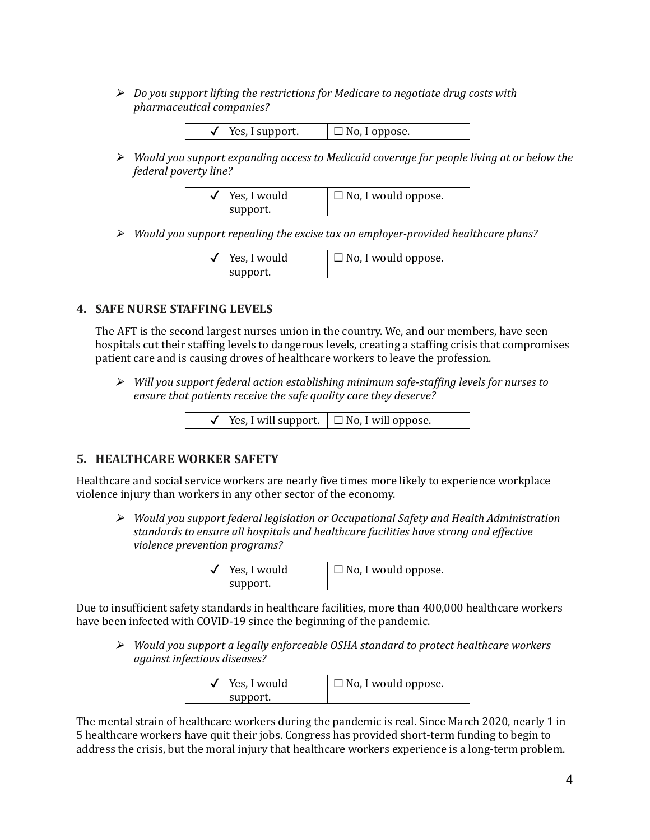⮚ *Do you support lifting the restrictions for Medicare to negotiate drug costs with pharmaceutical companies?*

| $\checkmark$ Yes, I support. | $\Box$ No, I oppose. |
|------------------------------|----------------------|
|                              |                      |

⮚ *Would you support expanding access to Medicaid coverage for people living at or below the federal poverty line?*

| Yes, I would | $\Box$ No, I would oppose. |
|--------------|----------------------------|
| support.     |                            |

⮚ *Would you support repealing the excise tax on employer-provided healthcare plans?*

| Yes, I would | $\Box$ No, I would oppose. |
|--------------|----------------------------|
| support.     |                            |

#### **4. SAFE NURSE STAFFING LEVELS**

The AFT is the second largest nurses union in the country. We, and our members, have seen hospitals cut their stafing levels to dangerous levels, creating a stafing crisis that compromises patient care and is causing droves of healthcare workers to leave the profession.

⮚ *Will you support federal action establishing minimum safe-stafing levels for nurses to ensure that patients receive the safe quality care they deserve?*

|  |  | Yes, I will support. $\Box$ No, I will oppose. |
|--|--|------------------------------------------------|
|--|--|------------------------------------------------|

#### **5. HEALTHCARE WORKER SAFETY**

Healthcare and social service workers are nearly ive times more likely to experience workplace violence injury than workers in any other sector of the economy.

⮚ *Would you support federal legislation or Occupational Safety and Health Administration standards to ensure all hospitals and healthcare facilities have strong and ef ective violence prevention programs?*

| Yes, I would | $\Box$ No, I would oppose. |
|--------------|----------------------------|
| support.     |                            |

Due to insuficient safety standards in healthcare facilities, more than 400,000 healthcare workers have been infected with COVID-19 since the beginning of the pandemic.

⮚ *Would you support a legally enforceable OSHA standard to protect healthcare workers against infectious diseases?*

| Yes, I would | $\Box$ No, I would oppose. |
|--------------|----------------------------|
| support.     |                            |

The mental strain of healthcare workers during the pandemic is real. Since March 2020, nearly 1 in 5 healthcare workers have quit their jobs. Congress has provided short-term funding to begin to address the crisis, but the moral injury that healthcare workers experience is a long-term problem.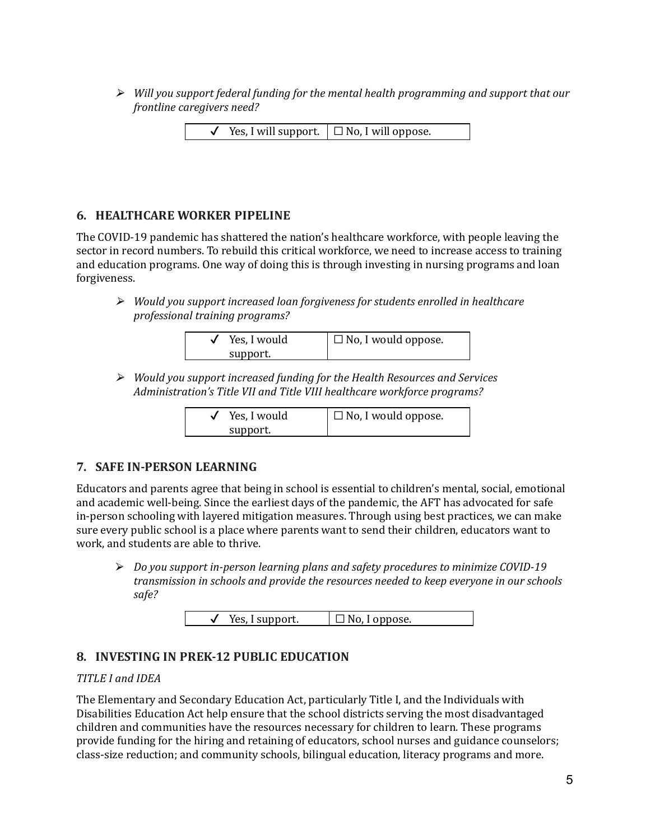⮚ *Will you support federal funding for the mental health programming and support that our frontline caregivers need?*

|  | $\checkmark$ Yes, I will support. $\Box$ No, I will oppose. |
|--|-------------------------------------------------------------|
|  |                                                             |

#### **6. HEALTHCARE WORKER PIPELINE**

The COVID-19 pandemic has shattered the nation's healthcare workforce, with people leaving the sector in record numbers. To rebuild this critical workforce, we need to increase access to training and education programs. One way of doing this is through investing in nursing programs and loan forgiveness.

⮚ *Would you support increased loan forgiveness for students enrolled in healthcare professional training programs?*

| Yes, I would | $\Box$ No, I would oppose. |
|--------------|----------------------------|
| support.     |                            |

⮚ *Would you support increased funding for the Health Resources and Services Administration's Title VII and Title VIII healthcare workforce programs?*

| Yes, I would | $\Box$ No, I would oppose. |
|--------------|----------------------------|
| support.     |                            |

# **7. SAFE IN-PERSON LEARNING**

Educators and parents agree that being in school is essential to children's mental, social, emotional and academic well-being. Since the earliest days of the pandemic, the AFT has advocated for safe in-person schooling with layered mitigation measures. Through using best practices, we can make sure every public school is a place where parents want to send their children, educators want to work, and students are able to thrive.

⮚ *Do you support in-person learning plans and safety procedures to minimize COVID-19 transmission in schools and provide the resources needed to keep everyone in our schools safe?*

| $\Box$ No, I oppose.<br>Yes, I support. |  |
|-----------------------------------------|--|
|-----------------------------------------|--|

# **8. INVESTING IN PREK-12 PUBLIC EDUCATION**

#### *TITLE I and IDEA*

The Elementary and Secondary Education Act, particularly Title I, and the Individuals with Disabilities Education Act help ensure that the school districts serving the most disadvantaged children and communities have the resources necessary for children to learn. These programs provide funding for the hiring and retaining of educators, school nurses and guidance counselors; class-size reduction; and community schools, bilingual education, literacy programs and more.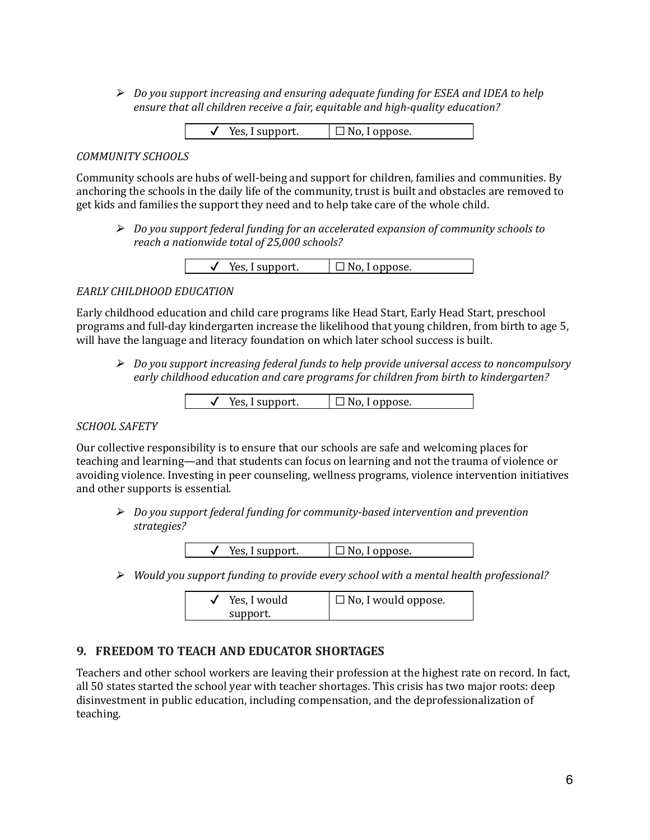⮚ *Do you support increasing and ensuring adequate funding for ESEA and IDEA to help ensure that all children receive a fair, equitable and high-quality education?*

 $\checkmark$  Yes, I support.  $\Box$  No, I oppose.

#### *COMMUNITY SCHOOLS*

Community schools are hubs of well-being and support for children, families and communities. By anchoring the schools in the daily life of the community, trust is built and obstacles are removed to get kids and families the support they need and to help take care of the whole child.

⮚ *Do you support federal funding for an accelerated expansion of community schools to reach a nationwide total of 25,000 schools?*

| support.<br>Yes | oppose. |
|-----------------|---------|
|-----------------|---------|

#### *EARLY CHILDHOOD EDUCATION*

Early childhood education and child care programs like Head Start, Early Head Start, preschool programs and full-day kindergarten increase the likelihood that young children, from birth to age 5, will have the language and literacy foundation on which later school success is built.

⮚ *Do you support increasing federal funds to help provide universal access to noncompulsory early childhood education and care programs for children from birth to kindergarten?*

#### *SCHOOL SAFETY*

Our collective responsibility is to ensure that our schools are safe and welcoming places for teaching and learning—and that students can focus on learning and not the trauma of violence or avoiding violence. Investing in peer counseling, wellness programs, violence intervention initiatives and other supports is essential.

⮚ *Do you support federal funding for community-based intervention and prevention strategies?*

| Yes, I support. | $\Box$ No, I oppose. |
|-----------------|----------------------|
|-----------------|----------------------|

⮚ *Would you support funding to provide every school with a mental health professional?*

| Yes, I would | $\Box$ No, I would oppose. |
|--------------|----------------------------|
| support.     |                            |

# **9. FREEDOM TO TEACH AND EDUCATOR SHORTAGES**

Teachers and other school workers are leaving their profession at the highest rate on record. In fact, all 50 states started the school year with teacher shortages. This crisis has two major roots: deep disinvestment in public education, including compensation, and the deprofessionalization of teaching.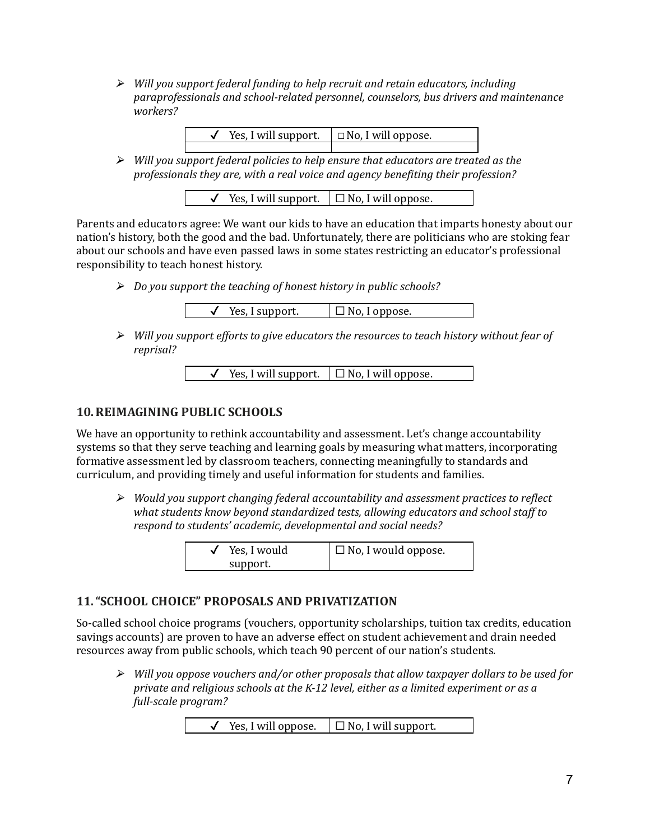⮚ *Will you support federal funding to help recruit and retain educators, including paraprofessionals and school-related personnel, counselors, bus drivers and maintenance workers?*

| Yes, I will support. $\Box$ No, I will oppose. |  |
|------------------------------------------------|--|
|                                                |  |

⮚ *Will you support federal policies to help ensure that educators are treated as the professionals they are, with a real voice and agency beneiting their profession?*

|  | Yes, I will support. $\Box$ No, I will oppose. |
|--|------------------------------------------------|
|  |                                                |

Parents and educators agree: We want our kids to have an education that imparts honesty about our nation's history, both the good and the bad. Unfortunately, there are politicians who are stoking fear about our schools and have even passed laws in some states restricting an educator's professional responsibility to teach honest history.

⮚ *Do you support the teaching of honest history in public schools?*

```
\checkmark Yes, I support. \Box No, I oppose.
```
⮚ *Will you support ef orts to give educators the resources to teach history without fear of reprisal?*

```
\checkmark Yes, I will support. \Box No, I will oppose.
```
#### **10.REIMAGINING PUBLIC SCHOOLS**

We have an opportunity to rethink accountability and assessment. Let's change accountability systems so that they serve teaching and learning goals by measuring what matters, incorporating formative assessment led by classroom teachers, connecting meaningfully to standards and curriculum, and providing timely and useful information for students and families.

⮚ *Would you support changing federal accountability and assessment practices to relect what students know beyond standardized tests, allowing educators and school staf to respond to students' academic, developmental and social needs?*

| Yes, I would | $\Box$ No, I would oppose. |
|--------------|----------------------------|
| support.     |                            |

# **11."SCHOOL CHOICE" PROPOSALS AND PRIVATIZATION**

So-called school choice programs (vouchers, opportunity scholarships, tuition tax credits, education savings accounts) are proven to have an adverse effect on student achievement and drain needed resources away from public schools, which teach 90 percent of our nation's students.

⮚ *Will you oppose vouchers and/or other proposals that allow taxpayer dollars to be used for private and religious schools at the K-12 level, either as a limited experiment or as a full-scale program?*

|  | Yes, I will oppose. | $\Box$ No, I will support. |
|--|---------------------|----------------------------|
|--|---------------------|----------------------------|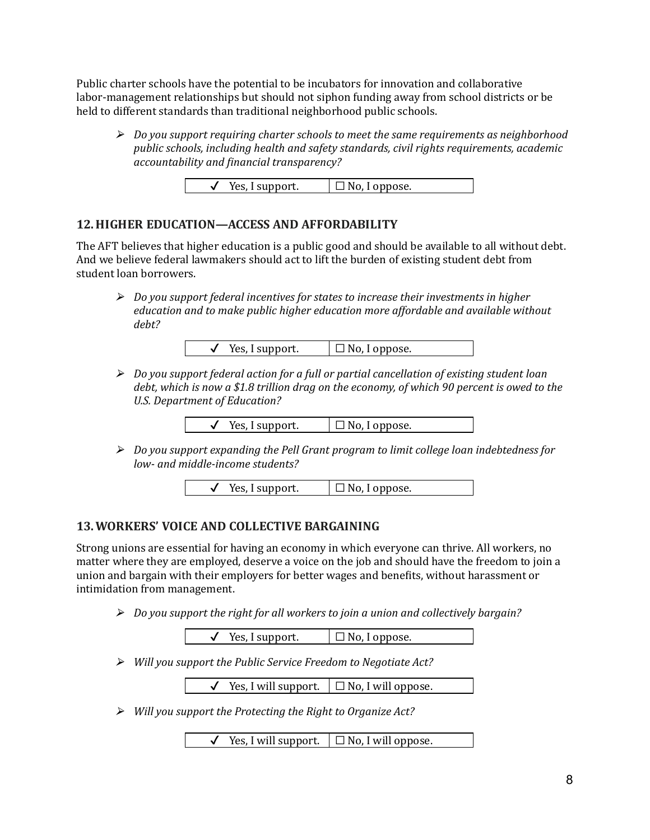Public charter schools have the potential to be incubators for innovation and collaborative labor-management relationships but should not siphon funding away from school districts or be held to different standards than traditional neighborhood public schools.

⮚ *Do you support requiring charter schools to meet the same requirements as neighborhood public schools, including health and safety standards, civil rights requirements, academic accountability and inancial transparency?*

| Yes, I support. | $\Box$ No, I oppose. |
|-----------------|----------------------|

#### **12.HIGHER EDUCATION—ACCESS AND AFFORDABILITY**

The AFT believes that higher education is a public good and should be available to all without debt. And we believe federal lawmakers should act to lift the burden of existing student debt from student loan borrowers.

⮚ *Do you support federal incentives for states to increase their investments in higher education and to make public higher education more af ordable and available without debt?*

| Yes, I support. | $\Box$ No, I oppose. |
|-----------------|----------------------|
|                 |                      |

⮚ *Do you support federal action for a full or partial cancellation of existing student loan debt, which is now a \$1.8 trillion drag on the economy, of which 90 percent is owed to the U.S. Department of Education?*

| Yes, I support. | $\Box$ No, I oppose. |
|-----------------|----------------------|
|-----------------|----------------------|

⮚ *Do you support expanding the Pell Grant program to limit college loan indebtedness for low- and middle-income students?*

 $\checkmark$  Yes, I support.  $\Box$  No, I oppose.

#### **13.WORKERS' VOICE AND COLLECTIVE BARGAINING**

Strong unions are essential for having an economy in which everyone can thrive. All workers, no matter where they are employed, deserve a voice on the job and should have the freedom to join a union and bargain with their employers for better wages and beneits, without harassment or intimidation from management.

⮚ *Do you support the right for all workers to join a union and collectively bargain?*

 $\checkmark$  Yes, I support.  $\Box$  No, I oppose.

⮚ *Will you support the Public Service Freedom to Negotiate Act?*

 $\checkmark$  Yes, I will support.  $\Box$  No, I will oppose.

⮚ *Will you support the Protecting the Right to Organize Act?*

Yes, I will support.  $\Box$  No, I will oppose.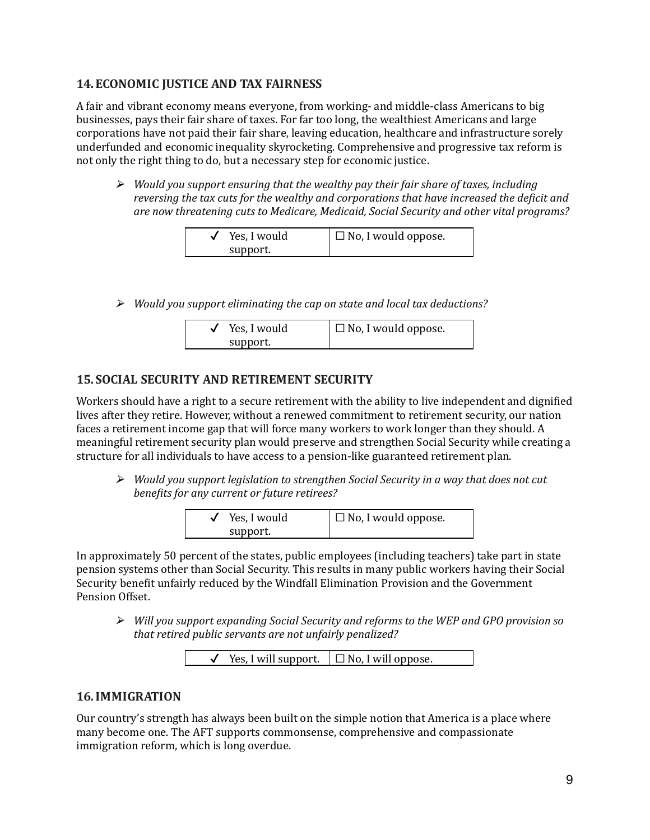# **14.ECONOMIC JUSTICE AND TAX FAIRNESS**

A fair and vibrant economy means everyone, from working- and middle-class Americans to big businesses, pays their fair share of taxes. For far too long, the wealthiest Americans and large corporations have not paid their fair share, leaving education, healthcare and infrastructure sorely underfunded and economic inequality skyrocketing. Comprehensive and progressive tax reform is not only the right thing to do, but a necessary step for economic justice.

⮚ *Would you support ensuring that the wealthy pay their fair share of taxes, including reversing the tax cuts for the wealthy and corporations that have increased the deicit and are now threatening cuts to Medicare, Medicaid, Social Security and other vital programs?*

| Yes, I would | $\Box$ No, I would oppose. |
|--------------|----------------------------|
| support.     |                            |

⮚ *Would you support eliminating the cap on state and local tax deductions?*

| Yes, I would | $\Box$ No, I would oppose. |
|--------------|----------------------------|
| support.     |                            |

# **15. SOCIAL SECURITY AND RETIREMENT SECURITY**

Workers should have a right to a secure retirement with the ability to live independent and dignified lives after they retire. However, without a renewed commitment to retirement security, our nation faces a retirement income gap that will force many workers to work longer than they should. A meaningful retirement security plan would preserve and strengthen Social Security while creating a structure for all individuals to have access to a pension-like guaranteed retirement plan.

⮚ *Would you support legislation to strengthen Social Security in a way that does not cut beneits for any current or future retirees?*

| Yes, I would | $\Box$ No, I would oppose. |
|--------------|----------------------------|
| support.     |                            |

In approximately 50 percent of the states, public employees (including teachers) take part in state pension systems other than Social Security. This results in many public workers having their Social Security benefit unfairly reduced by the Windfall Elimination Provision and the Government Pension Offset.

⮚ *Will you support expanding Social Security and reforms to the WEP and GPO provision so that retired public servants are not unfairly penalized?*

| Yes, I will support. $\Box$ No, I will oppose. |
|------------------------------------------------|
|------------------------------------------------|

# **16.IMMIGRATION**

Our country's strength has always been built on the simple notion that America is a place where many become one. The AFT supports commonsense, comprehensive and compassionate immigration reform, which is long overdue.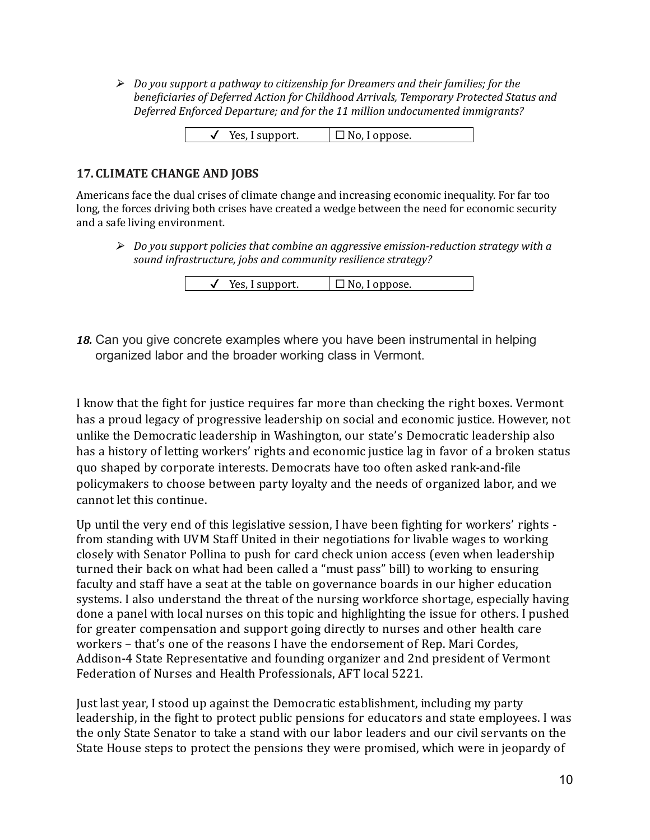⮚ *Do you support a pathway to citizenship for Dreamers and their families; for the beneiciaries of Deferred Action for Childhood Arrivals, Temporary Protected Status and Deferred Enforced Departure; and for the 11 million undocumented immigrants?*

| Yes, I support. | $\Box$ No, I oppose. |
|-----------------|----------------------|
|                 |                      |

## **17. CLIMATE CHANGE AND JOBS**

Americans face the dual crises of climate change and increasing economic inequality. For far too long, the forces driving both crises have created a wedge between the need for economic security and a safe living environment.

⮚ *Do you support policies that combine an aggressive emission-reduction strategy with a sound infrastructure, jobs and community resilience strategy?*

| Yes, I support. | $\Box$ No, I oppose. |
|-----------------|----------------------|
|-----------------|----------------------|

*18.* Can you give concrete examples where you have been instrumental in helping organized labor and the broader working class in Vermont.

I know that the ight for justice requires far more than checking the right boxes. Vermont has a proud legacy of progressive leadership on social and economic justice. However, not unlike the Democratic leadership in Washington, our state's Democratic leadership also has a history of letting workers' rights and economic justice lag in favor of a broken status quo shaped by corporate interests. Democrats have too often asked rank-and-ile policymakers to choose between party loyalty and the needs of organized labor, and we cannot let this continue.

Up until the very end of this legislative session, I have been ighting for workers' rights from standing with UVM Staff United in their negotiations for livable wages to working closely with Senator Pollina to push for card check union access (even when leadership turned their back on what had been called a "must pass" bill) to working to ensuring faculty and staff have a seat at the table on governance boards in our higher education systems. I also understand the threat of the nursing workforce shortage, especially having done a panel with local nurses on this topic and highlighting the issue for others. I pushed for greater compensation and support going directly to nurses and other health care workers – that's one of the reasons I have the endorsement of Rep. Mari Cordes, Addison-4 State Representative and founding organizer and 2nd president of Vermont Federation of Nurses and Health Professionals, AFT local 5221.

Just last year, I stood up against the Democratic establishment, including my party leadership, in the ight to protect public pensions for educators and state employees. I was the only State Senator to take a stand with our labor leaders and our civil servants on the State House steps to protect the pensions they were promised, which were in jeopardy of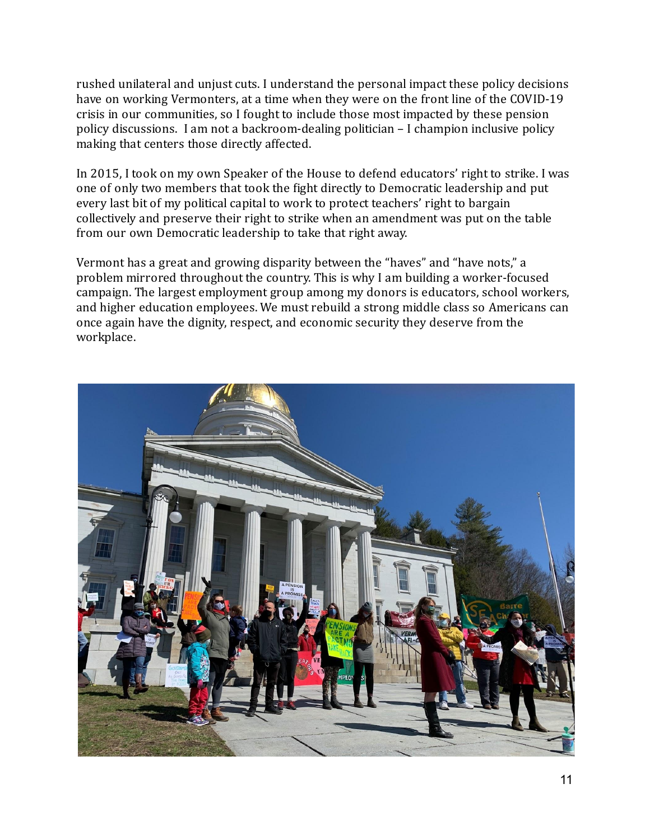rushed unilateral and unjust cuts. I understand the personal impact these policy decisions have on working Vermonters, at a time when they were on the front line of the COVID-19 crisis in our communities, so I fought to include those most impacted by these pension policy discussions. I am not a backroom-dealing politician – I champion inclusive policy making that centers those directly affected.

In 2015, I took on my own Speaker of the House to defend educators' right to strike. I was one of only two members that took the ight directly to Democratic leadership and put every last bit of my political capital to work to protect teachers' right to bargain collectively and preserve their right to strike when an amendment was put on the table from our own Democratic leadership to take that right away.

Vermont has a great and growing disparity between the "haves" and "have nots," a problem mirrored throughout the country. This is why I am building a worker-focused campaign. The largest employment group among my donors is educators, school workers, and higher education employees. We must rebuild a strong middle class so Americans can once again have the dignity, respect, and economic security they deserve from the workplace.